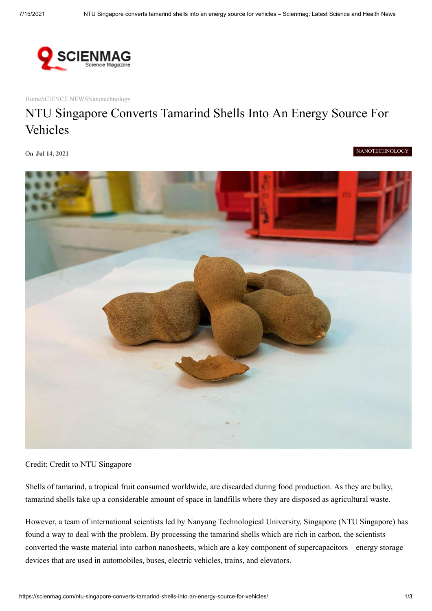

[Home](https://scienmag.com/)[SCIENCE NEWS](https://scienmag.com/category/science-news/)[Nanotechnology](https://scienmag.com/category/science-news/nanotechnology/)

## NTU Singapore Converts Tamarind Shells Into An Energy Source For Vehicles

On **Jul 14, 2021**

[NANOTECHNOLOGY](https://scienmag.com/category/science-news/nanotechnology/)



Credit: Credit to NTU Singapore

Shells of tamarind, a tropical fruit consumed worldwide, are discarded during food production. As they are bulky, tamarind shells take up a considerable amount of space in landfills where they are disposed as agricultural waste.

However, a team of international scientists led by Nanyang Technological University, Singapore (NTU Singapore) has found a way to deal with the problem. By processing the tamarind shells which are rich in carbon, the scientists converted the waste material into carbon nanosheets, which are a key component of supercapacitors – energy storage devices that are used in automobiles, buses, electric vehicles, trains, and elevators.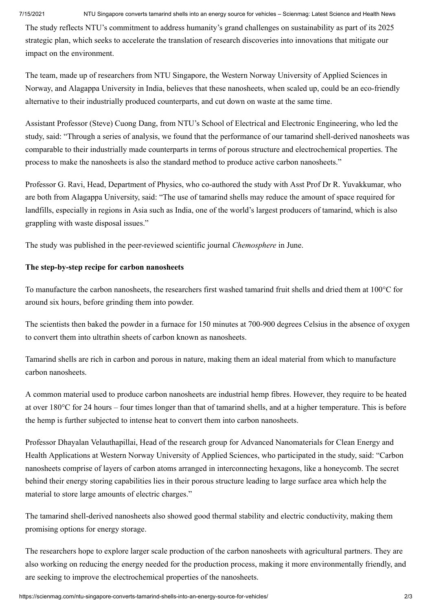7/15/2021 NTU Singapore converts tamarind shells into an energy source for vehicles – Scienmag: Latest Science and Health News

The study reflects NTU's commitment to address humanity's grand challenges on sustainability as part of its 2025 strategic plan, which seeks to accelerate the translation of research discoveries into innovations that mitigate our impact on the environment.

The team, made up of researchers from NTU Singapore, the Western Norway University of Applied Sciences in Norway, and Alagappa University in India, believes that these nanosheets, when scaled up, could be an eco-friendly alternative to their industrially produced counterparts, and cut down on waste at the same time.

Assistant Professor (Steve) Cuong Dang, from NTU's School of Electrical and Electronic Engineering, who led the study, said: "Through a series of analysis, we found that the performance of our tamarind shell-derived nanosheets was comparable to their industrially made counterparts in terms of porous structure and electrochemical properties. The process to make the nanosheets is also the standard method to produce active carbon nanosheets."

Professor G. Ravi, Head, Department of Physics, who co-authored the study with Asst Prof Dr R. Yuvakkumar, who are both from Alagappa University, said: "The use of tamarind shells may reduce the amount of space required for landfills, especially in regions in Asia such as India, one of the world's largest producers of tamarind, which is also grappling with waste disposal issues."

The study was published in the peer-reviewed scientific journal *Chemosphere* in June.

## **The step-by-step recipe for carbon nanosheets**

To manufacture the carbon nanosheets, the researchers first washed tamarind fruit shells and dried them at 100°C for around six hours, before grinding them into powder.

The scientists then baked the powder in a furnace for 150 minutes at 700-900 degrees Celsius in the absence of oxygen to convert them into ultrathin sheets of carbon known as nanosheets.

Tamarind shells are rich in carbon and porous in nature, making them an ideal material from which to manufacture carbon nanosheets.

A common material used to produce carbon nanosheets are industrial hemp fibres. However, they require to be heated at over 180°C for 24 hours – four times longer than that of tamarind shells, and at a higher temperature. This is before the hemp is further subjected to intense heat to convert them into carbon nanosheets.

Professor Dhayalan Velauthapillai, Head of the research group for Advanced Nanomaterials for Clean Energy and Health Applications at Western Norway University of Applied Sciences, who participated in the study, said: "Carbon nanosheets comprise of layers of carbon atoms arranged in interconnecting hexagons, like a honeycomb. The secret behind their energy storing capabilities lies in their porous structure leading to large surface area which help the material to store large amounts of electric charges."

The tamarind shell-derived nanosheets also showed good thermal stability and electric conductivity, making them promising options for energy storage.

The researchers hope to explore larger scale production of the carbon nanosheets with agricultural partners. They are also working on reducing the energy needed for the production process, making it more environmentally friendly, and are seeking to improve the electrochemical properties of the nanosheets.